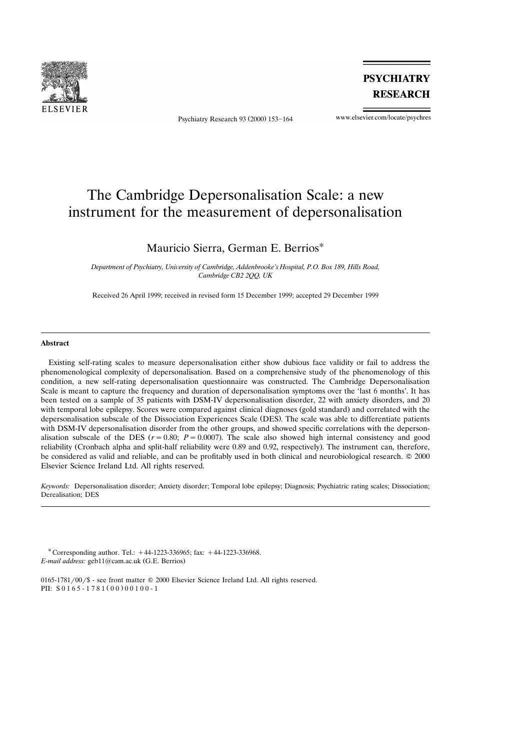

Psychiatry Research 93 (2000) 153-164

**PSYCHIATRY RESEARCH** 

www.elsevier.com/locate/psychres

# The Cambridge Depersonalisation Scale: a new instrument for the measurement of depersonalisation

# Mauricio Sierra, German E. Berrios\*

Department of Psychiatry, University of Cambridge, Addenbrooke's Hospital, P.O. Box 189, Hills Road, *Cambridge CB2 2QQ, UK*

Received 26 April 1999; received in revised form 15 December 1999; accepted 29 December 1999

#### **Abstract**

Existing self-rating scales to measure depersonalisation either show dubious face validity or fail to address the phenomenological complexity of depersonalisation. Based on a comprehensive study of the phenomenology of this condition, a new self-rating depersonalisation questionnaire was constructed. The Cambridge Depersonalisation Scale is meant to capture the frequency and duration of depersonalisation symptoms over the 'last 6 months'. It has been tested on a sample of 35 patients with DSM-IV depersonalisation disorder, 22 with anxiety disorders, and 20 with temporal lobe epilepsy. Scores were compared against clinical diagnoses (gold standard) and correlated with the depersonalisation subscale of the Dissociation Experiences Scale (DES). The scale was able to differentiate patients with DSM-IV depersonalisation disorder from the other groups, and showed specific correlations with the depersonalisation subscale of the DES  $(r = 0.80; P = 0.0007)$ . The scale also showed high internal consistency and good reliability (Cronbach alpha and split-half reliability were 0.89 and 0.92, respectively). The instrument can, therefore, be considered as valid and reliable, and can be profitably used in both clinical and neurobiological research.  $© 2000$ Elsevier Science Ireland Ltd. All rights reserved.

*Keywords:* Depersonalisation disorder; Anxiety disorder; Temporal lobe epilepsy; Diagnosis; Psychiatric rating scales; Dissociation; Derealisation; DES

\* Corresponding author. Tel.:  $+44-1223-336965$ ; fax:  $+44-1223-336968$ . *E-mail address:* geb11@cam.ac.uk (G.E. Berrios)

0165-1781/00/\$ - see front matter © 2000 Elsevier Science Ireland Ltd. All rights reserved. PII:  $S 0 1 6 5 - 1 7 8 1 (0 0) 0 0 1 0 0 - 1$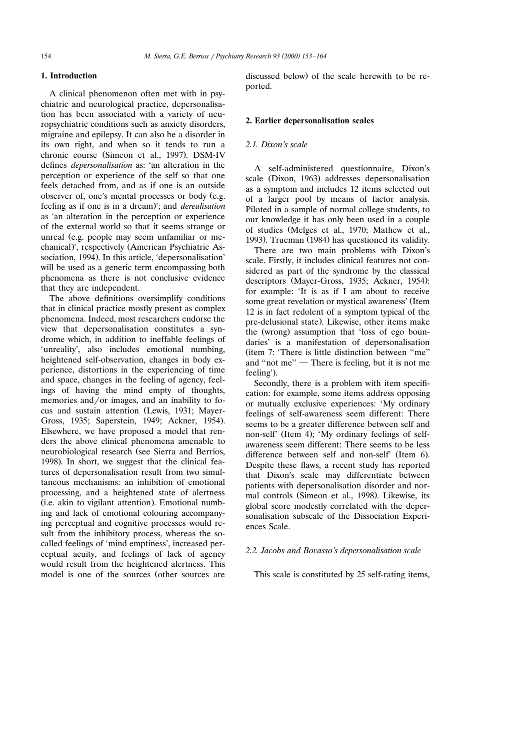## **1. Introduction**

A clinical phenomenon often met with in psychiatric and neurological practice, depersonalisation has been associated with a variety of neuropsychiatric conditions such as anxiety disorders, migraine and epilepsy. It can also be a disorder in its own right, and when so it tends to run a chronic course (Simeon et al., 1997). DSM-IV defines *depersonalisation* as: 'an alteration in the perception or experience of the self so that one feels detached from, and as if one is an outside observer of, one's mental processes or body (e.g. feeling as if one is in a dream); and *derealisation* as 'an alteration in the perception or experience of the external world so that it seems strange or unreal (e.g. people may seem unfamiliar or mechanical)', respectively (American Psychiatric Association, 1994). In this article, 'depersonalisation' will be used as a generic term encompassing both phenomena as there is not conclusive evidence that they are independent.

The above definitions oversimplify conditions that in clinical practice mostly present as complex phenomena. Indeed, most researchers endorse the view that depersonalisation constitutes a syndrome which, in addition to ineffable feelings of 'unreality', also includes emotional numbing, heightened self-observation, changes in body experience, distortions in the experiencing of time and space, changes in the feeling of agency, feelings of having the mind empty of thoughts, memories and/or images, and an inability to focus and sustain attention (Lewis, 1931; Mayer-Gross, 1935; Saperstein, 1949; Ackner, 1954). Elsewhere, we have proposed a model that renders the above clinical phenomena amenable to neurobiological research (see Sierra and Berrios, 1998). In short, we suggest that the clinical features of depersonalisation result from two simultaneous mechanisms: an inhibition of emotional processing, and a heightened state of alertness (i.e. akin to vigilant attention). Emotional numbing and lack of emotional colouring accompanying perceptual and cognitive processes would result from the inhibitory process, whereas the socalled feelings of 'mind emptiness', increased perceptual acuity, and feelings of lack of agency would result from the heightened alertness. This model is one of the sources (other sources are

discussed below) of the scale herewith to be reported.

#### **2. Earlier depersonalisation scales**

### *2.1. Dixon's scale*

A self-administered questionnaire, Dixon's scale (Dixon, 1963) addresses depersonalisation as a symptom and includes 12 items selected out of a larger pool by means of factor analysis. Piloted in a sample of normal college students, to our knowledge it has only been used in a couple of studies (Melges et al., 1970; Mathew et al., 1993). Trueman (1984) has questioned its validity.

There are two main problems with Dixon's scale. Firstly, it includes clinical features not considered as part of the syndrome by the classical descriptors (Mayer-Gross, 1935; Ackner, 1954): for example: 'It is as if I am about to receive some great revelation or mystical awareness' (Item 12 is in fact redolent of a symptom typical of the pre-delusional state). Likewise, other items make the (wrong) assumption that 'loss of ego boundaries' is a manifestation of depersonalisation (item 7: 'There is little distinction between "me" and "not me"  $\overline{\phantom{a}}$  There is feeling, but it is not me feeling').

Secondly, there is a problem with item specification: for example, some items address opposing or mutually exclusive experiences: 'My ordinary feelings of self-awareness seem different: There seems to be a greater difference between self and non-self' (Item 4): 'My ordinary feelings of selfawareness seem different: There seems to be less difference between self and non-self' (Item 6). Despite these flaws, a recent study has reported that Dixon's scale may differentiate between patients with depersonalisation disorder and normal controls (Simeon et al., 1998). Likewise, its global score modestly correlated with the depersonalisation subscale of the Dissociation Experiences Scale.

### 2.2. *Jacobs and Bovasso's depersonalisation scale*

This scale is constituted by 25 self-rating items,